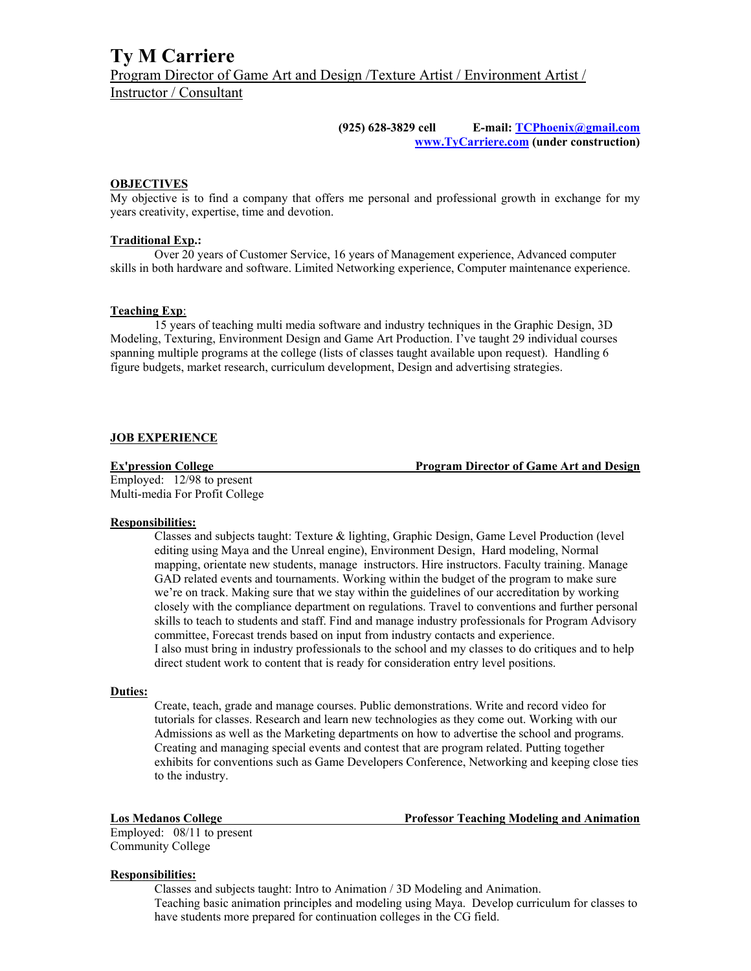**(925) 628-3829 cell E-mail: TCPhoenix@gmail.com www.TyCarriere.com (under construction)** 

#### **OBJECTIVES**

My objective is to find a company that offers me personal and professional growth in exchange for my years creativity, expertise, time and devotion.

#### **Traditional Exp.:**

Over 20 years of Customer Service, 16 years of Management experience, Advanced computer skills in both hardware and software. Limited Networking experience, Computer maintenance experience.

#### **Teaching Exp**:

 15 years of teaching multi media software and industry techniques in the Graphic Design, 3D Modeling, Texturing, Environment Design and Game Art Production. I've taught 29 individual courses spanning multiple programs at the college (lists of classes taught available upon request). Handling 6 figure budgets, market research, curriculum development, Design and advertising strategies.

### **JOB EXPERIENCE**

**Ex'pression College Program Director of Game Art and Design** 

Employed: 12/98 to present Multi-media For Profit College

#### **Responsibilities:**

Classes and subjects taught: Texture & lighting, Graphic Design, Game Level Production (level editing using Maya and the Unreal engine), Environment Design, Hard modeling, Normal mapping, orientate new students, manage instructors. Hire instructors. Faculty training. Manage GAD related events and tournaments. Working within the budget of the program to make sure we're on track. Making sure that we stay within the guidelines of our accreditation by working closely with the compliance department on regulations. Travel to conventions and further personal skills to teach to students and staff. Find and manage industry professionals for Program Advisory committee, Forecast trends based on input from industry contacts and experience. I also must bring in industry professionals to the school and my classes to do critiques and to help direct student work to content that is ready for consideration entry level positions.

#### **Duties:**

Create, teach, grade and manage courses. Public demonstrations. Write and record video for tutorials for classes. Research and learn new technologies as they come out. Working with our Admissions as well as the Marketing departments on how to advertise the school and programs. Creating and managing special events and contest that are program related. Putting together exhibits for conventions such as Game Developers Conference, Networking and keeping close ties to the industry.

**Los Medanos College Professor Teaching Modeling and Animation** 

Employed: 08/11 to present Community College

### **Responsibilities:**

Classes and subjects taught: Intro to Animation / 3D Modeling and Animation. Teaching basic animation principles and modeling using Maya. Develop curriculum for classes to have students more prepared for continuation colleges in the CG field.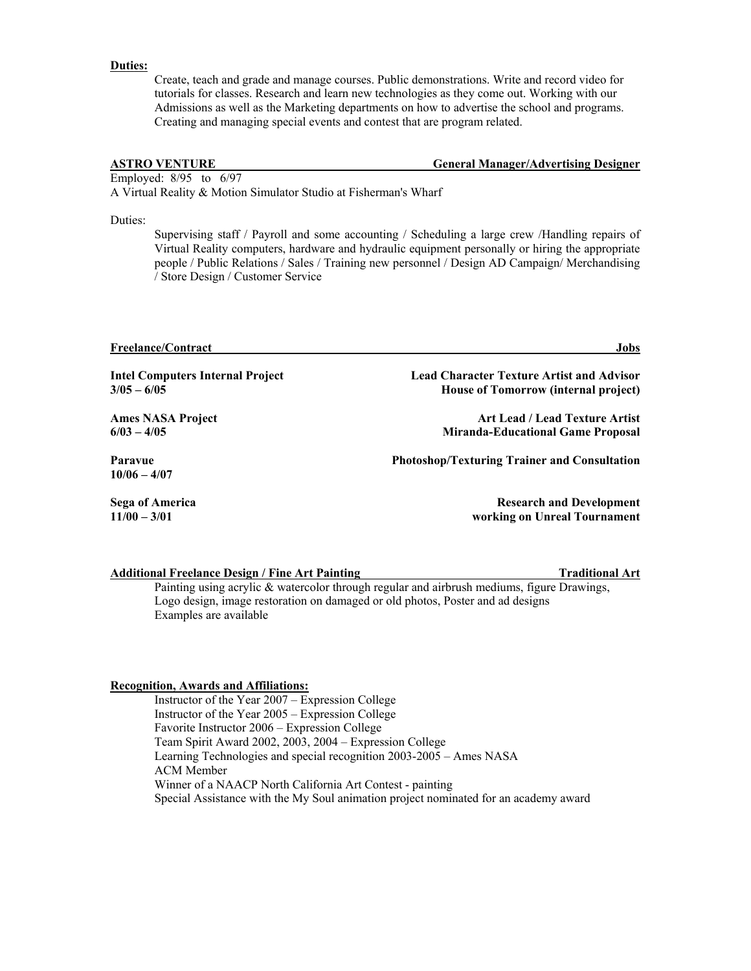#### **Duties:**

Create, teach and grade and manage courses. Public demonstrations. Write and record video for tutorials for classes. Research and learn new technologies as they come out. Working with our Admissions as well as the Marketing departments on how to advertise the school and programs. Creating and managing special events and contest that are program related.

**ASTRO VENTURE General Manager/Advertising Designer** 

Employed: 8/95 to 6/97 A Virtual Reality & Motion Simulator Studio at Fisherman's Wharf

Duties:

Supervising staff / Payroll and some accounting / Scheduling a large crew /Handling repairs of Virtual Reality computers, hardware and hydraulic equipment personally or hiring the appropriate people / Public Relations / Sales / Training new personnel / Design AD Campaign/ Merchandising / Store Design / Customer Service

**Freelance/Contract Jobs** 

**Intel Computers Internal Project Lead Character Texture Artist and Advisor 3/05 – 6/05 House of Tomorrow (internal project)**

**10/06 – 4/07** 

Ames NASA Project **Art Lead / Lead Texture Artist**  $\overline{A}$ **6/03 – 4/05 Miranda-Educational Game Proposal**

**Paravue Photoshop/Texturing Trainer and Consultation** 

**Sega of America Research and Development Research and Development 11/00 – 3/01 working on Unreal Tournament** 

#### **Additional Freelance Design / Fine Art Painting Traditional Art**

Painting using acrylic & watercolor through regular and airbrush mediums, figure Drawings, Logo design, image restoration on damaged or old photos, Poster and ad designs Examples are available

#### **Recognition, Awards and Affiliations:**

Instructor of the Year 2007 – Expression College Instructor of the Year 2005 – Expression College Favorite Instructor 2006 – Expression College Team Spirit Award 2002, 2003, 2004 – Expression College Learning Technologies and special recognition 2003-2005 – Ames NASA ACM Member Winner of a NAACP North California Art Contest - painting Special Assistance with the My Soul animation project nominated for an academy award